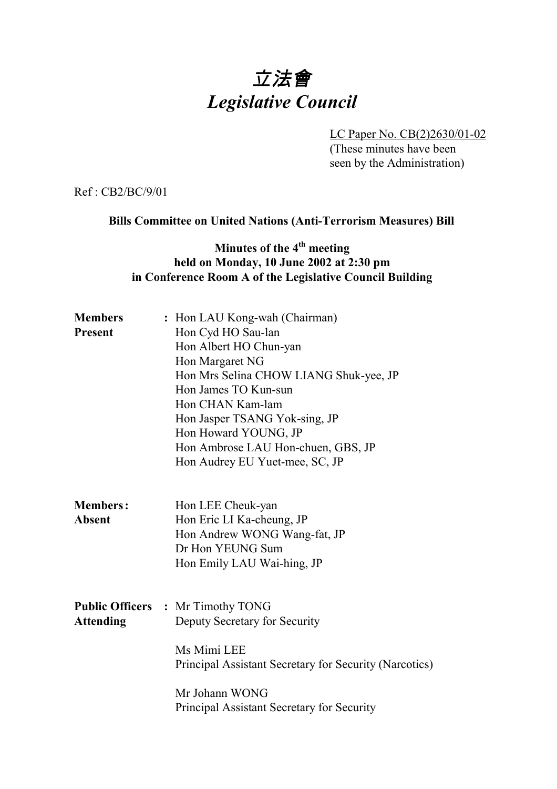# 立法會 *Legislative Council*

LC Paper No. CB(2)2630/01-02 (These minutes have been seen by the Administration)

Ref : CB2/BC/9/01

#### **Bills Committee on United Nations (Anti-Terrorism Measures) Bill**

## **Minutes of the 4<sup>th</sup> meeting held on Monday, 10 June 2002 at 2:30 pm in Conference Room A of the Legislative Council Building**

| <b>Members</b>   | : Hon LAU Kong-wah (Chairman)                          |  |  |  |
|------------------|--------------------------------------------------------|--|--|--|
| <b>Present</b>   | Hon Cyd HO Sau-lan                                     |  |  |  |
|                  | Hon Albert HO Chun-yan                                 |  |  |  |
|                  | Hon Margaret NG                                        |  |  |  |
|                  | Hon Mrs Selina CHOW LIANG Shuk-yee, JP                 |  |  |  |
|                  | Hon James TO Kun-sun                                   |  |  |  |
|                  | Hon CHAN Kam-lam                                       |  |  |  |
|                  | Hon Jasper TSANG Yok-sing, JP                          |  |  |  |
|                  | Hon Howard YOUNG, JP                                   |  |  |  |
|                  | Hon Ambrose LAU Hon-chuen, GBS, JP                     |  |  |  |
|                  | Hon Audrey EU Yuet-mee, SC, JP                         |  |  |  |
|                  |                                                        |  |  |  |
| <b>Members:</b>  | Hon LEE Cheuk-yan                                      |  |  |  |
| <b>Absent</b>    | Hon Eric LI Ka-cheung, JP                              |  |  |  |
|                  | Hon Andrew WONG Wang-fat, JP                           |  |  |  |
|                  | Dr Hon YEUNG Sum                                       |  |  |  |
|                  | Hon Emily LAU Wai-hing, JP                             |  |  |  |
|                  | <b>Public Officers : Mr Timothy TONG</b>               |  |  |  |
|                  |                                                        |  |  |  |
| <b>Attending</b> | Deputy Secretary for Security                          |  |  |  |
|                  | Ms Mimi LEE                                            |  |  |  |
|                  | Principal Assistant Secretary for Security (Narcotics) |  |  |  |
|                  | Mr Johann WONG                                         |  |  |  |
|                  | Principal Assistant Secretary for Security             |  |  |  |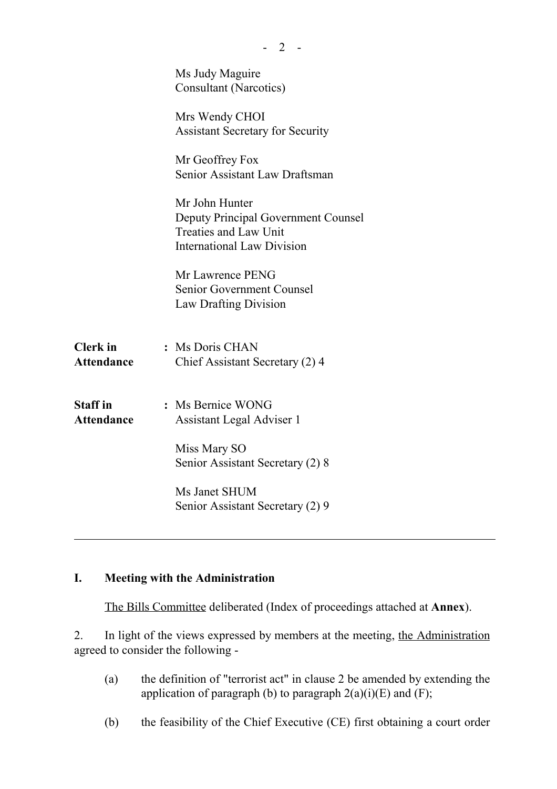|                                      | Ms Judy Maguire<br><b>Consultant (Narcotics)</b>                                                                           |
|--------------------------------------|----------------------------------------------------------------------------------------------------------------------------|
|                                      | Mrs Wendy CHOI<br><b>Assistant Secretary for Security</b>                                                                  |
|                                      | Mr Geoffrey Fox<br>Senior Assistant Law Draftsman                                                                          |
|                                      | Mr John Hunter<br>Deputy Principal Government Counsel<br><b>Treaties and Law Unit</b><br><b>International Law Division</b> |
|                                      | Mr Lawrence PENG<br>Senior Government Counsel<br>Law Drafting Division                                                     |
| <b>Clerk</b> in<br><b>Attendance</b> | : Ms Doris CHAN<br>Chief Assistant Secretary (2) 4                                                                         |
| <b>Staff</b> in<br><b>Attendance</b> | : Ms Bernice WONG<br>Assistant Legal Adviser 1                                                                             |
|                                      | Miss Mary SO<br>Senior Assistant Secretary (2) 8                                                                           |
|                                      | Ms Janet SHUM<br>Senior Assistant Secretary (2) 9                                                                          |
|                                      |                                                                                                                            |

 $- 2 -$ 

## **I. Meeting with the Administration**

The Bills Committee deliberated (Index of proceedings attached at **Annex**).

2. In light of the views expressed by members at the meeting, the Administration agreed to consider the following -

- (a) the definition of "terrorist act" in clause 2 be amended by extending the application of paragraph (b) to paragraph  $2(a)(i)(E)$  and  $(F)$ ;
- (b) the feasibility of the Chief Executive (CE) first obtaining a court order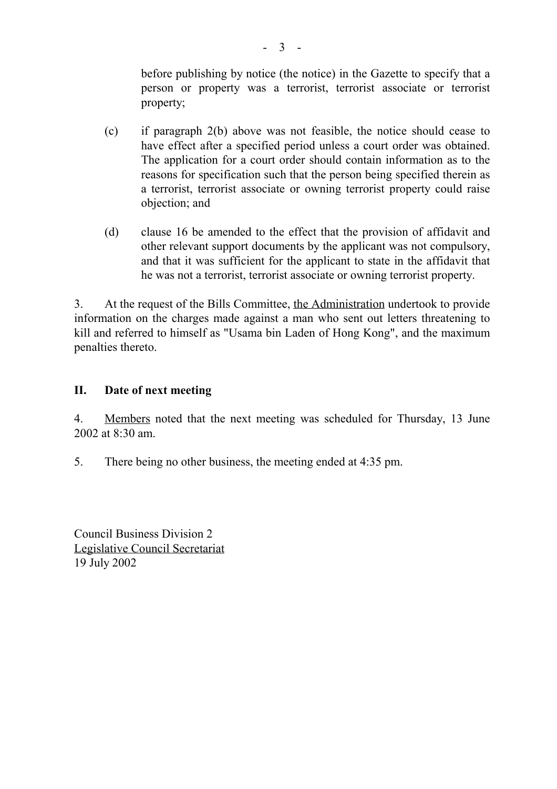before publishing by notice (the notice) in the Gazette to specify that a person or property was a terrorist, terrorist associate or terrorist property;

- (c) if paragraph 2(b) above was not feasible, the notice should cease to have effect after a specified period unless a court order was obtained. The application for a court order should contain information as to the reasons for specification such that the person being specified therein as a terrorist, terrorist associate or owning terrorist property could raise objection; and
- (d) clause 16 be amended to the effect that the provision of affidavit and other relevant support documents by the applicant was not compulsory, and that it was sufficient for the applicant to state in the affidavit that he was not a terrorist, terrorist associate or owning terrorist property.

3. At the request of the Bills Committee, the Administration undertook to provide information on the charges made against a man who sent out letters threatening to kill and referred to himself as "Usama bin Laden of Hong Kong", and the maximum penalties thereto.

### **II. Date of next meeting**

4. Members noted that the next meeting was scheduled for Thursday, 13 June 2002 at 8:30 am.

5. There being no other business, the meeting ended at 4:35 pm.

Council Business Division 2 Legislative Council Secretariat 19 July 2002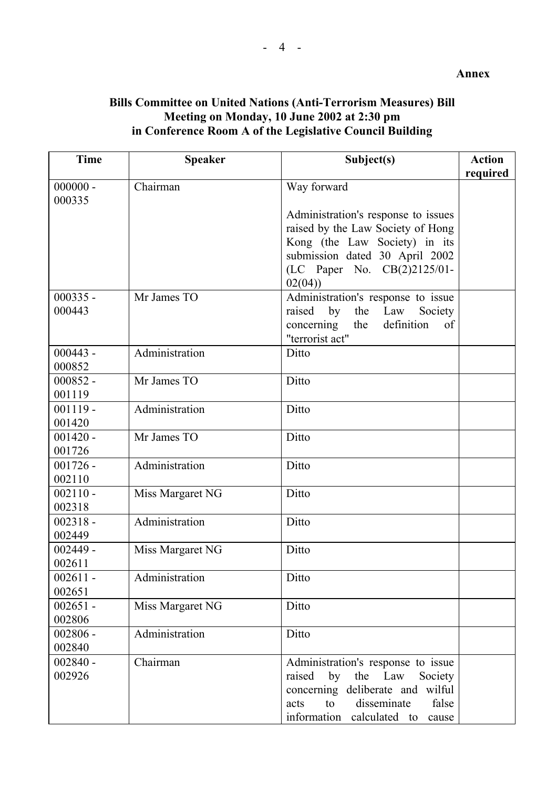#### **Bills Committee on United Nations (Anti-Terrorism Measures) Bill Meeting on Monday, 10 June 2002 at 2:30 pm in Conference Room A of the Legislative Council Building**

| <b>Time</b>          | <b>Speaker</b>   | Subject(s)                            | <b>Action</b> |
|----------------------|------------------|---------------------------------------|---------------|
| $000000 -$           | Chairman         | Way forward                           | required      |
| 000335               |                  |                                       |               |
|                      |                  | Administration's response to issues   |               |
|                      |                  | raised by the Law Society of Hong     |               |
|                      |                  | Kong (the Law Society) in its         |               |
|                      |                  | submission dated 30 April 2002        |               |
|                      |                  | (LC Paper No. CB(2)2125/01-           |               |
|                      |                  | 02(04)                                |               |
| $000335 -$           | Mr James TO      | Administration's response to issue    |               |
| 000443               |                  | by<br>raised<br>the Law<br>Society    |               |
|                      |                  | definition<br>the<br>concerning<br>of |               |
|                      |                  | "terrorist act"                       |               |
| $000443 -$           | Administration   | Ditto                                 |               |
| 000852               |                  |                                       |               |
| $000852 -$           | Mr James TO      | Ditto                                 |               |
| 001119               |                  |                                       |               |
| $001119 -$           | Administration   | Ditto                                 |               |
| 001420               |                  |                                       |               |
| $001420 -$           | Mr James TO      | Ditto                                 |               |
| 001726               |                  |                                       |               |
| $001726 -$           | Administration   | Ditto                                 |               |
| 002110               |                  |                                       |               |
| $002110 -$           | Miss Margaret NG | Ditto                                 |               |
| 002318               |                  |                                       |               |
| $002318 -$           | Administration   | Ditto                                 |               |
| 002449               |                  |                                       |               |
| $002449 -$<br>002611 | Miss Margaret NG | Ditto                                 |               |
| $002611 -$           | Administration   | Ditto                                 |               |
| 002651               |                  |                                       |               |
| $002651 -$           | Miss Margaret NG | Ditto                                 |               |
| 002806               |                  |                                       |               |
| $002806 -$           | Administration   | Ditto                                 |               |
| 002840               |                  |                                       |               |
| $002840 -$           | Chairman         | Administration's response to issue    |               |
| 002926               |                  | by<br>the Law<br>raised<br>Society    |               |
|                      |                  | concerning deliberate and wilful      |               |
|                      |                  | disseminate<br>to<br>false<br>acts    |               |
|                      |                  | information calculated to<br>cause    |               |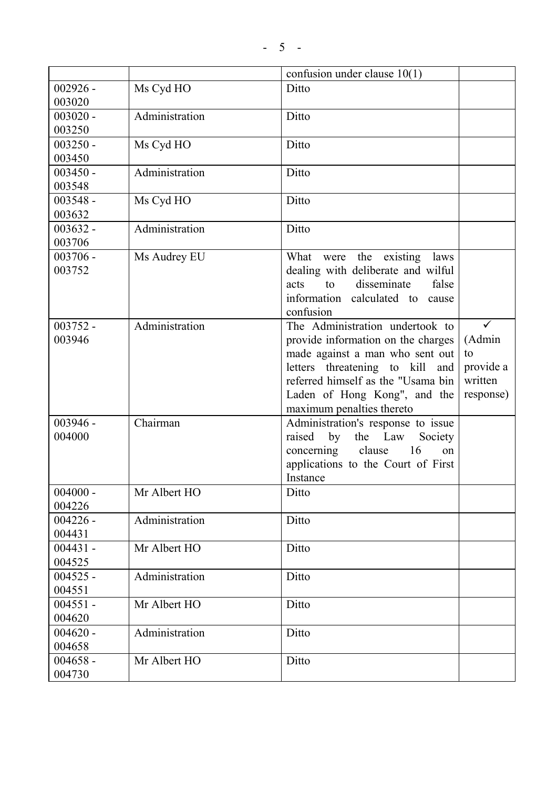|            |                | confusion under clause $10(1)$     |           |
|------------|----------------|------------------------------------|-----------|
| $002926 -$ | Ms Cyd HO      | Ditto                              |           |
| 003020     |                |                                    |           |
| $003020 -$ | Administration | Ditto                              |           |
| 003250     |                |                                    |           |
| $003250 -$ | Ms Cyd HO      | Ditto                              |           |
| 003450     |                |                                    |           |
| $003450 -$ | Administration | Ditto                              |           |
| 003548     |                |                                    |           |
| $003548 -$ | Ms Cyd HO      | Ditto                              |           |
| 003632     |                |                                    |           |
| $003632 -$ | Administration | Ditto                              |           |
| 003706     |                |                                    |           |
| $003706 -$ | Ms Audrey EU   | What were the existing laws        |           |
| 003752     |                | dealing with deliberate and wilful |           |
|            |                | disseminate<br>to<br>false<br>acts |           |
|            |                | information calculated to cause    |           |
|            |                | confusion                          |           |
| $003752 -$ | Administration | The Administration undertook to    |           |
| 003946     |                | provide information on the charges | (Admin    |
|            |                | made against a man who sent out    | to        |
|            |                | letters threatening to kill<br>and | provide a |
|            |                | referred himself as the "Usama bin | written   |
|            |                | Laden of Hong Kong", and the       | response) |
|            |                | maximum penalties thereto          |           |
| 003946 -   | Chairman       | Administration's response to issue |           |
| 004000     |                | raised<br>by<br>the Law<br>Society |           |
|            |                | 16<br>clause<br>concerning<br>on   |           |
|            |                | applications to the Court of First |           |
|            |                | Instance                           |           |
| $004000 -$ | Mr Albert HO   | Ditto                              |           |
| 004226     |                |                                    |           |
| $004226 -$ | Administration | Ditto                              |           |
| 004431     |                |                                    |           |
| $004431 -$ | Mr Albert HO   | Ditto                              |           |
| 004525     |                |                                    |           |
| $004525 -$ | Administration | Ditto                              |           |
| 004551     |                |                                    |           |
| $004551 -$ | Mr Albert HO   | Ditto                              |           |
| 004620     |                |                                    |           |
| $004620 -$ | Administration | Ditto                              |           |
| 004658     |                |                                    |           |
| $004658 -$ | Mr Albert HO   | Ditto                              |           |
| 004730     |                |                                    |           |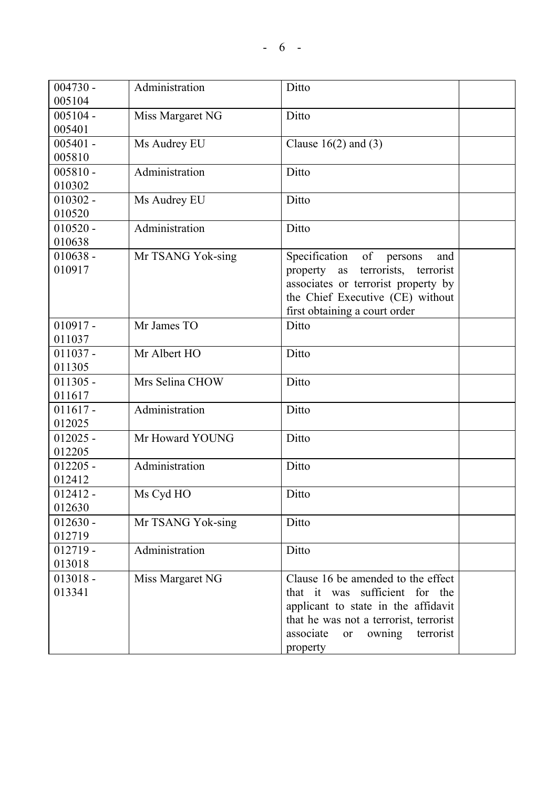| $004730 -$ | Administration    | Ditto                                         |
|------------|-------------------|-----------------------------------------------|
| 005104     |                   |                                               |
| $005104 -$ | Miss Margaret NG  | Ditto                                         |
| 005401     |                   |                                               |
| $005401 -$ | Ms Audrey EU      | Clause $16(2)$ and $(3)$                      |
| 005810     |                   |                                               |
| $005810 -$ | Administration    | Ditto                                         |
| 010302     |                   |                                               |
| $010302 -$ | Ms Audrey EU      | Ditto                                         |
| 010520     |                   |                                               |
| $010520 -$ | Administration    | Ditto                                         |
| 010638     |                   |                                               |
| $010638 -$ | Mr TSANG Yok-sing | Specification<br>of<br>persons<br>and         |
| 010917     |                   | terrorists, terrorist<br>property as          |
|            |                   | associates or terrorist property by           |
|            |                   | the Chief Executive (CE) without              |
|            |                   | first obtaining a court order                 |
| $010917 -$ | Mr James TO       | Ditto                                         |
| 011037     |                   |                                               |
| $011037 -$ | Mr Albert HO      | Ditto                                         |
| 011305     |                   |                                               |
| $011305 -$ | Mrs Selina CHOW   | Ditto                                         |
| 011617     |                   |                                               |
| $011617 -$ | Administration    | Ditto                                         |
| 012025     |                   |                                               |
| $012025 -$ | Mr Howard YOUNG   | Ditto                                         |
| 012205     |                   |                                               |
| $012205 -$ | Administration    | Ditto                                         |
| 012412     |                   |                                               |
| $012412 -$ | Ms Cyd HO         | Ditto                                         |
| 012630     |                   |                                               |
| $012630 -$ | Mr TSANG Yok-sing | Ditto                                         |
| 012719     |                   |                                               |
| $012719 -$ | Administration    | Ditto                                         |
| 013018     |                   |                                               |
| $013018 -$ | Miss Margaret NG  | Clause 16 be amended to the effect            |
| 013341     |                   | sufficient<br>that it was<br>for the          |
|            |                   | applicant to state in the affidavit           |
|            |                   | that he was not a terrorist, terrorist        |
|            |                   | owning<br>terrorist<br>associate<br><b>or</b> |
|            |                   | property                                      |